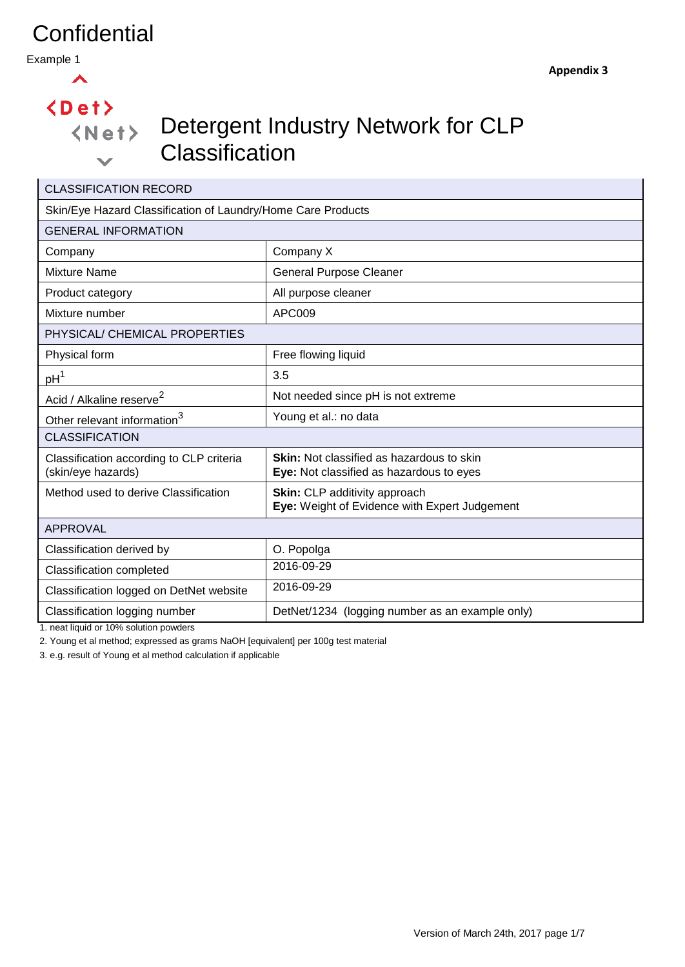Example 1

#### $\blacktriangle$

 $\langle$ Det $\rangle$ 

 $\checkmark$ 

## Detergent Industry Network for CLP **Classification**

| <b>CLASSIFICATION RECORD</b>                                   |                                                                                              |  |  |  |
|----------------------------------------------------------------|----------------------------------------------------------------------------------------------|--|--|--|
| Skin/Eye Hazard Classification of Laundry/Home Care Products   |                                                                                              |  |  |  |
| <b>GENERAL INFORMATION</b>                                     |                                                                                              |  |  |  |
| Company                                                        | Company X                                                                                    |  |  |  |
| <b>Mixture Name</b>                                            | <b>General Purpose Cleaner</b>                                                               |  |  |  |
| Product category                                               | All purpose cleaner                                                                          |  |  |  |
| Mixture number                                                 | APC009                                                                                       |  |  |  |
| PHYSICAL/ CHEMICAL PROPERTIES                                  |                                                                                              |  |  |  |
| Physical form                                                  | Free flowing liquid                                                                          |  |  |  |
| pH <sup>1</sup>                                                | 3.5                                                                                          |  |  |  |
| Acid / Alkaline reserve <sup>2</sup>                           | Not needed since pH is not extreme                                                           |  |  |  |
| Other relevant information <sup>3</sup>                        | Young et al.: no data                                                                        |  |  |  |
| <b>CLASSIFICATION</b>                                          |                                                                                              |  |  |  |
| Classification according to CLP criteria<br>(skin/eye hazards) | <b>Skin:</b> Not classified as hazardous to skin<br>Eye: Not classified as hazardous to eyes |  |  |  |
| Method used to derive Classification                           | <b>Skin:</b> CLP additivity approach<br>Eye: Weight of Evidence with Expert Judgement        |  |  |  |
| <b>APPROVAL</b>                                                |                                                                                              |  |  |  |
| Classification derived by                                      | O. Popolga                                                                                   |  |  |  |
| <b>Classification completed</b>                                | 2016-09-29                                                                                   |  |  |  |
| Classification logged on DetNet website                        | 2016-09-29                                                                                   |  |  |  |
| Classification logging number                                  | DetNet/1234 (logging number as an example only)                                              |  |  |  |

1. neat liquid or 10% solution powders

2. Young et al method; expressed as grams NaOH [equivalent] per 100g test material

3. e.g. result of Young et al method calculation if applicable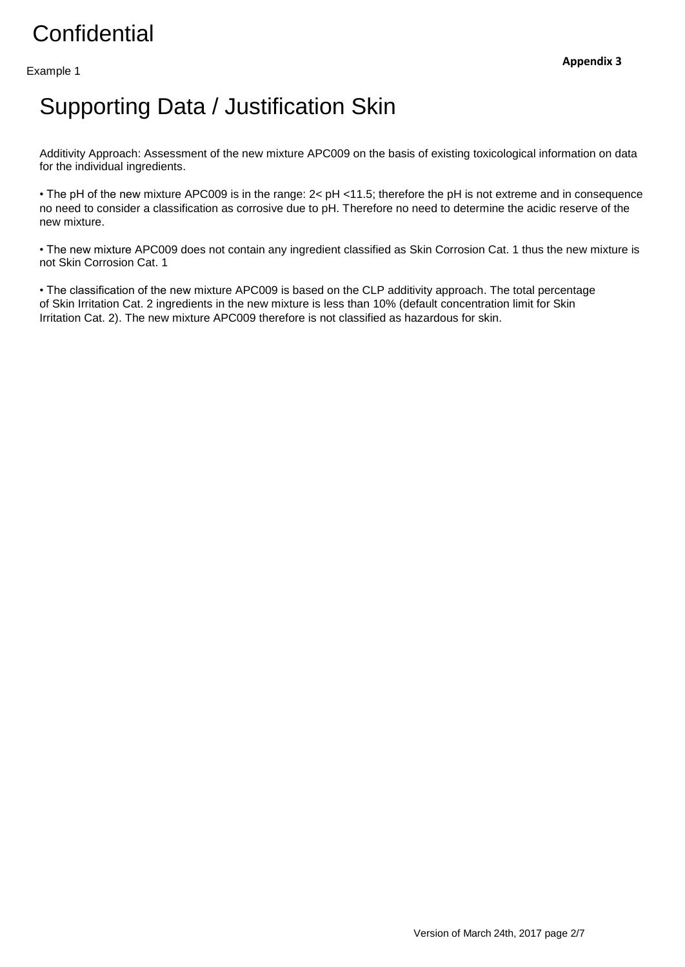#### Example 1

## Supporting Data / Justification Skin

Additivity Approach: Assessment of the new mixture APC009 on the basis of existing toxicological information on data for the individual ingredients.

• The pH of the new mixture APC009 is in the range: 2< pH <11.5; therefore the pH is not extreme and in consequence no need to consider a classification as corrosive due to pH. Therefore no need to determine the acidic reserve of the new mixture.

• The new mixture APC009 does not contain any ingredient classified as Skin Corrosion Cat. 1 thus the new mixture is not Skin Corrosion Cat. 1

• The classification of the new mixture APC009 is based on the CLP additivity approach. The total percentage of Skin Irritation Cat. 2 ingredients in the new mixture is less than 10% (default concentration limit for Skin Irritation Cat. 2). The new mixture APC009 therefore is not classified as hazardous for skin.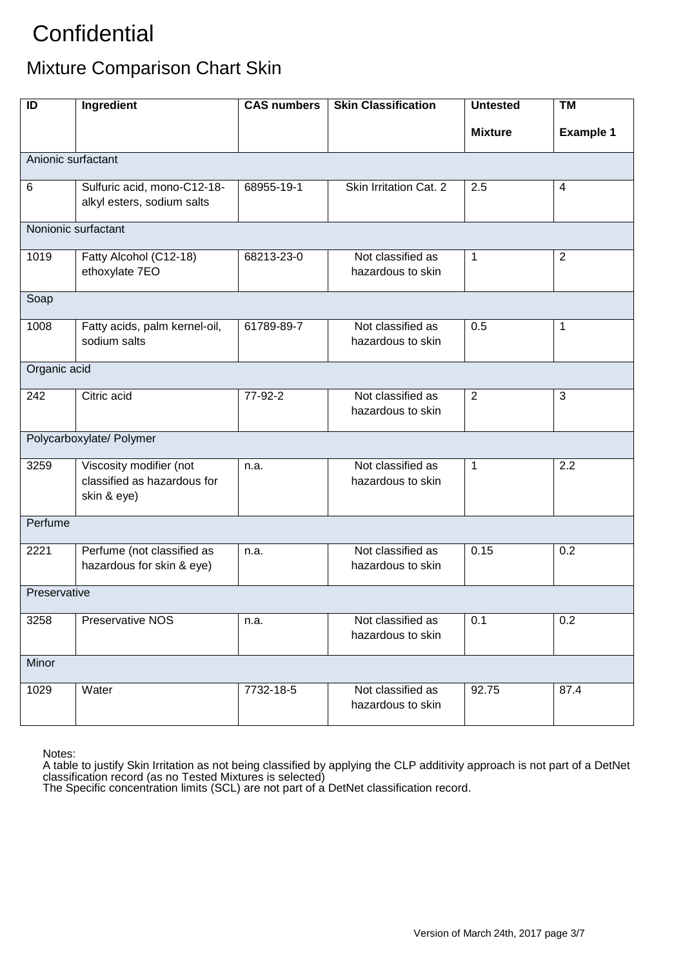### Mixture Comparison Chart Skin

| ID                  | Ingredient                                                            | <b>CAS numbers</b> | <b>Skin Classification</b>             | <b>Untested</b> | <b>TM</b>        |
|---------------------|-----------------------------------------------------------------------|--------------------|----------------------------------------|-----------------|------------------|
|                     |                                                                       |                    |                                        | <b>Mixture</b>  | <b>Example 1</b> |
| Anionic surfactant  |                                                                       |                    |                                        |                 |                  |
| $\,6\,$             | Sulfuric acid, mono-C12-18-<br>alkyl esters, sodium salts             | 68955-19-1         | Skin Irritation Cat. 2                 | 2.5             | $\overline{4}$   |
| Nonionic surfactant |                                                                       |                    |                                        |                 |                  |
| 1019                | Fatty Alcohol (C12-18)<br>ethoxylate 7EO                              | 68213-23-0         | Not classified as<br>hazardous to skin | $\mathbf{1}$    | $\overline{2}$   |
| Soap                |                                                                       |                    |                                        |                 |                  |
| 1008                | Fatty acids, palm kernel-oil,<br>sodium salts                         | 61789-89-7         | Not classified as<br>hazardous to skin | 0.5             | $\mathbf 1$      |
| Organic acid        |                                                                       |                    |                                        |                 |                  |
| 242                 | Citric acid                                                           | 77-92-2            | Not classified as<br>hazardous to skin | $\overline{2}$  | $\mathbf{3}$     |
|                     | Polycarboxylate/ Polymer                                              |                    |                                        |                 |                  |
| 3259                | Viscosity modifier (not<br>classified as hazardous for<br>skin & eye) | n.a.               | Not classified as<br>hazardous to skin | $\mathbf{1}$    | 2.2              |
| Perfume             |                                                                       |                    |                                        |                 |                  |
| 2221                | Perfume (not classified as<br>hazardous for skin & eye)               | n.a.               | Not classified as<br>hazardous to skin | 0.15            | 0.2              |
| Preservative        |                                                                       |                    |                                        |                 |                  |
| 3258                | Preservative NOS                                                      | n.a.               | Not classified as<br>hazardous to skin | 0.1             | 0.2              |
| Minor               |                                                                       |                    |                                        |                 |                  |
| 1029                | Water                                                                 | 7732-18-5          | Not classified as<br>hazardous to skin | 92.75           | 87.4             |

Notes:

A table to justify Skin Irritation as not being classified by applying the CLP additivity approach is not part of a DetNet classification record (as no Tested Mixtures is selected)

The Specific concentration limits (SCL) are not part of a DetNet classification record.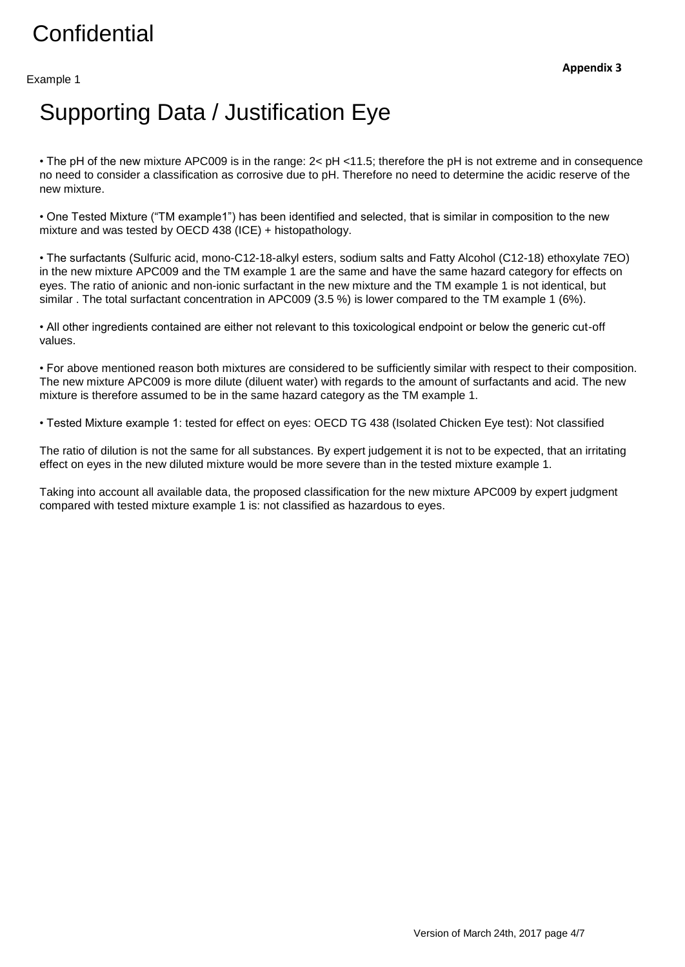#### Example 1

## Supporting Data / Justification Eye

• The pH of the new mixture APC009 is in the range: 2< pH <11.5; therefore the pH is not extreme and in consequence no need to consider a classification as corrosive due to pH. Therefore no need to determine the acidic reserve of the new mixture.

• One Tested Mixture ("TM example1") has been identified and selected, that is similar in composition to the new mixture and was tested by OECD 438 (ICE) + histopathology.

• The surfactants (Sulfuric acid, mono-C12-18-alkyl esters, sodium salts and Fatty Alcohol (C12-18) ethoxylate 7EO) in the new mixture APC009 and the TM example 1 are the same and have the same hazard category for effects on eyes. The ratio of anionic and non-ionic surfactant in the new mixture and the TM example 1 is not identical, but similar . The total surfactant concentration in APC009 (3.5 %) is lower compared to the TM example 1 (6%).

• All other ingredients contained are either not relevant to this toxicological endpoint or below the generic cut-off values.

• For above mentioned reason both mixtures are considered to be sufficiently similar with respect to their composition. The new mixture APC009 is more dilute (diluent water) with regards to the amount of surfactants and acid. The new mixture is therefore assumed to be in the same hazard category as the TM example 1.

• Tested Mixture example 1: tested for effect on eyes: OECD TG 438 (Isolated Chicken Eye test): Not classified

The ratio of dilution is not the same for all substances. By expert judgement it is not to be expected, that an irritating effect on eyes in the new diluted mixture would be more severe than in the tested mixture example 1.

Taking into account all available data, the proposed classification for the new mixture APC009 by expert judgment compared with tested mixture example 1 is: not classified as hazardous to eyes.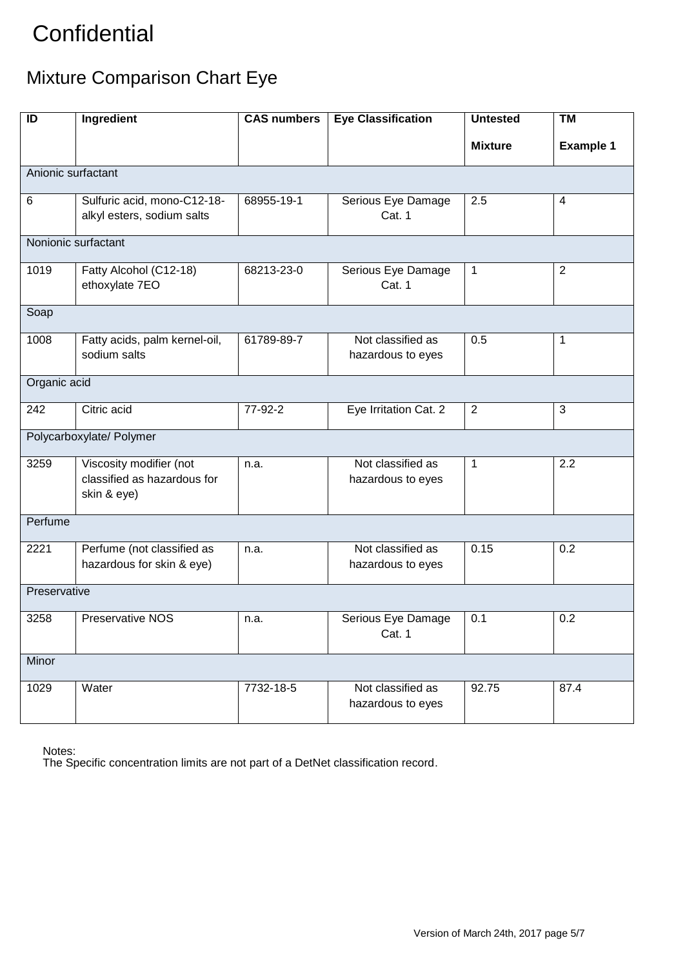### Mixture Comparison Chart Eye

| ID                       | Ingredient                                                            | <b>CAS numbers</b> | <b>Eye Classification</b>              | <b>Untested</b> | <b>TM</b>        |
|--------------------------|-----------------------------------------------------------------------|--------------------|----------------------------------------|-----------------|------------------|
|                          |                                                                       |                    |                                        | <b>Mixture</b>  | <b>Example 1</b> |
| Anionic surfactant       |                                                                       |                    |                                        |                 |                  |
| 6                        | Sulfuric acid, mono-C12-18-<br>alkyl esters, sodium salts             | 68955-19-1         | Serious Eye Damage<br>Cat. 1           | 2.5             | 4                |
| Nonionic surfactant      |                                                                       |                    |                                        |                 |                  |
| 1019                     | Fatty Alcohol (C12-18)<br>ethoxylate 7EO                              | 68213-23-0         | Serious Eye Damage<br>Cat. 1           | 1               | $\overline{2}$   |
| Soap                     |                                                                       |                    |                                        |                 |                  |
| 1008                     | Fatty acids, palm kernel-oil,<br>sodium salts                         | 61789-89-7         | Not classified as<br>hazardous to eyes | 0.5             | 1                |
| Organic acid             |                                                                       |                    |                                        |                 |                  |
| 242                      | Citric acid                                                           | 77-92-2            | Eye Irritation Cat. 2                  | $\overline{2}$  | $\mathbf{3}$     |
| Polycarboxylate/ Polymer |                                                                       |                    |                                        |                 |                  |
| 3259                     | Viscosity modifier (not<br>classified as hazardous for<br>skin & eye) | n.a.               | Not classified as<br>hazardous to eyes | 1               | 2.2              |
| Perfume                  |                                                                       |                    |                                        |                 |                  |
| 2221                     | Perfume (not classified as<br>hazardous for skin & eye)               | n.a.               | Not classified as<br>hazardous to eyes | 0.15            | 0.2              |
| Preservative             |                                                                       |                    |                                        |                 |                  |
| 3258                     | Preservative NOS                                                      | n.a.               | Serious Eye Damage<br>Cat. 1           | 0.1             | 0.2              |
| Minor                    |                                                                       |                    |                                        |                 |                  |
| 1029                     | Water                                                                 | 7732-18-5          | Not classified as<br>hazardous to eyes | 92.75           | 87.4             |

Notes:

The Specific concentration limits are not part of a DetNet classification record.